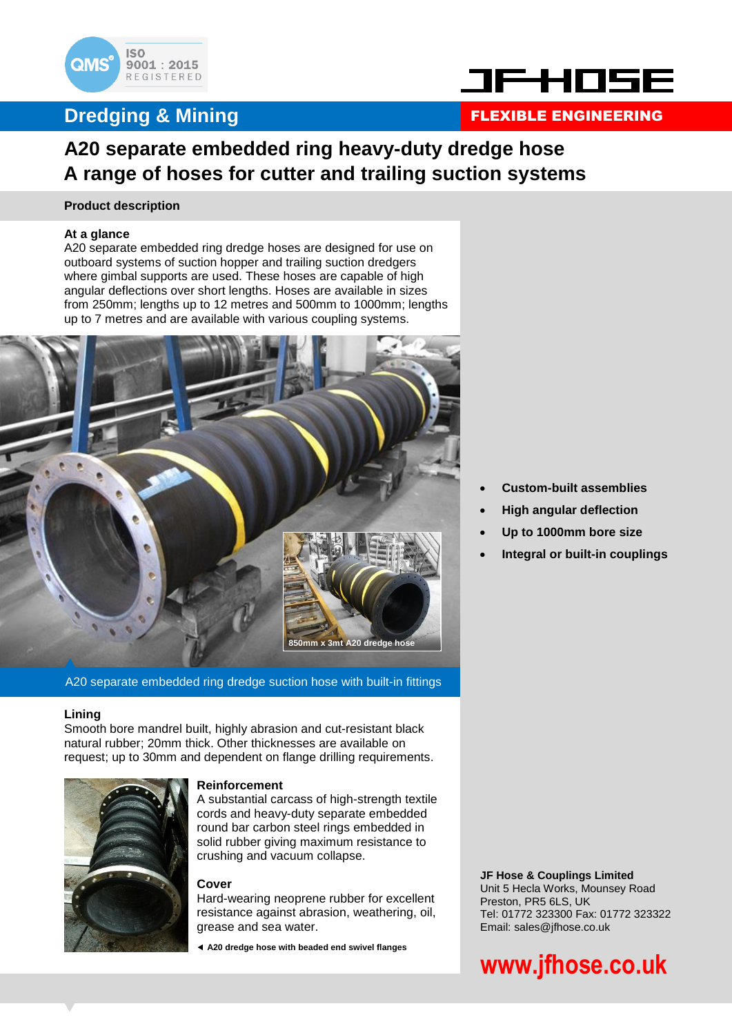

### **Dredging & Mining**



### FLEXIBLE ENGINEERING

### **A20 separate embedded ring heavy-duty dredge hose A range of hoses for cutter and trailing suction systems**

#### **Product description**

#### **At a glance**

A20 separate embedded ring dredge hoses are designed for use on outboard systems of suction hopper and trailing suction dredgers where gimbal supports are used. These hoses are capable of high angular deflections over short lengths. Hoses are available in sizes from 250mm; lengths up to 12 metres and 500mm to 1000mm; lengths up to 7 metres and are available with various coupling systems.



A20 separate embedded ring dredge suction hose with built-in fittings

#### **Lining**

Smooth bore mandrel built, highly abrasion and cut-resistant black natural rubber; 20mm thick. Other thicknesses are available on request; up to 30mm and dependent on flange drilling requirements.



#### **Reinforcement**

A substantial carcass of high-strength textile cords and heavy-duty separate embedded round bar carbon steel rings embedded in solid rubber giving maximum resistance to crushing and vacuum collapse.

#### **Cover**

Hard-wearing neoprene rubber for excellent resistance against abrasion, weathering, oil, grease and sea water.

**A20 dredge hose with beaded end swivel flanges**

- **Custom-built assemblies**
- **High angular deflection**
- **Up to 1000mm bore size**
- **Integral or built-in couplings**

**JF Hose & Couplings Limited** Unit 5 Hecla Works, Mounsey Road Preston, PR5 6LS, UK Tel: 01772 323300 Fax: 01772 323322 Email: sales@jfhose.co.uk

# **www.jfhose.co.uk**